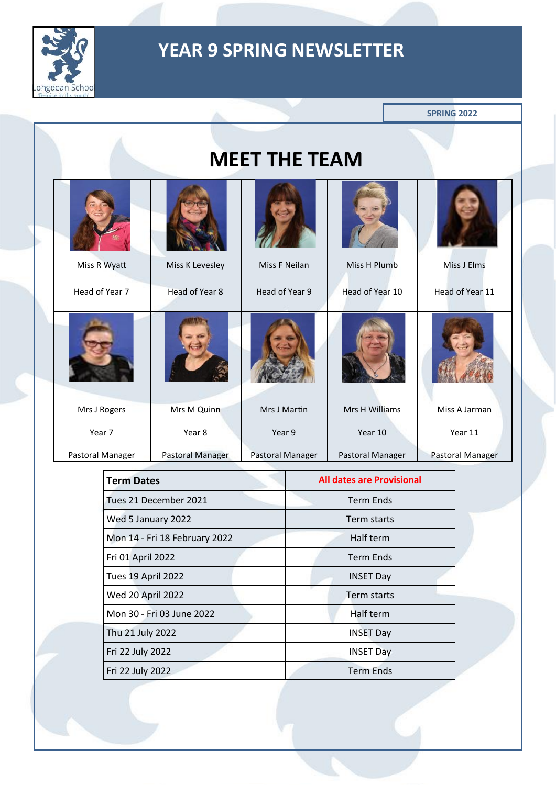

|                                                                                                                                          |                   |                  |                       |                      |                                  | <b>SPRING 2022</b> |
|------------------------------------------------------------------------------------------------------------------------------------------|-------------------|------------------|-----------------------|----------------------|----------------------------------|--------------------|
|                                                                                                                                          |                   |                  |                       | <b>MEET THE TEAM</b> |                                  |                    |
|                                                                                                                                          |                   |                  |                       |                      |                                  |                    |
|                                                                                                                                          |                   | Miss R Wyatt     | Miss K Levesley       | Miss F Neilan        | Miss H Plumb                     | Miss J Elms        |
|                                                                                                                                          |                   | Head of Year 7   | Head of Year 8        | Head of Year 9       | Head of Year 10                  | Head of Year 11    |
|                                                                                                                                          |                   |                  |                       |                      |                                  |                    |
|                                                                                                                                          |                   | Mrs J Rogers     | Mrs M Quinn           | Mrs J Martin         | Mrs H Williams                   | Miss A Jarman      |
|                                                                                                                                          |                   | Year 7           | Year 8                | Year 9               | Year 10                          | Year 11            |
|                                                                                                                                          |                   | Pastoral Manager | Pastoral Manager      | Pastoral Manager     | Pastoral Manager                 | Pastoral Manager   |
|                                                                                                                                          | <b>Term Dates</b> |                  |                       |                      | <b>All dates are Provisional</b> |                    |
|                                                                                                                                          |                   |                  | Tues 21 December 2021 |                      | <b>Term Ends</b>                 |                    |
|                                                                                                                                          |                   |                  | Wed 5 January 2022    |                      | Term starts                      |                    |
| Mon 14 - Fri 18 February 2022<br>Fri 01 April 2022<br><b>Tues 19 April 2022</b><br><b>Wed 20 April 2022</b><br>Mon 30 - Fri 03 June 2022 |                   |                  |                       | Half term            |                                  |                    |
|                                                                                                                                          |                   |                  |                       | <b>Term Ends</b>     |                                  |                    |
|                                                                                                                                          |                   |                  | <b>INSET Day</b>      |                      |                                  |                    |
|                                                                                                                                          |                   |                  | Term starts           |                      |                                  |                    |
|                                                                                                                                          |                   |                  | Half term             |                      |                                  |                    |
| Thu 21 July 2022                                                                                                                         |                   |                  | <b>INSET Day</b>      |                      |                                  |                    |
| Fri 22 July 2022<br>Fri 22 July 2022                                                                                                     |                   |                  |                       |                      | <b>INSET Day</b>                 |                    |
|                                                                                                                                          |                   |                  | <b>Term Ends</b>      |                      |                                  |                    |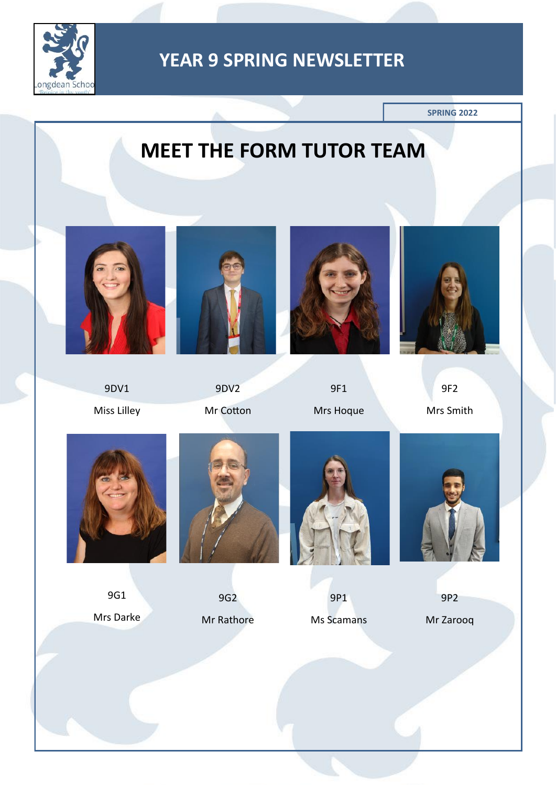

**SPRING 2022**

# **MEET THE FORM TUTOR TEAM**



9DV1 Miss Lilley



9DV2 Mr Cotton



9F1 Mrs Hoque





9G1 Mrs Darke



9G2 Mr Rathore



9P1 Ms Scamans



9P2

Mr Zarooq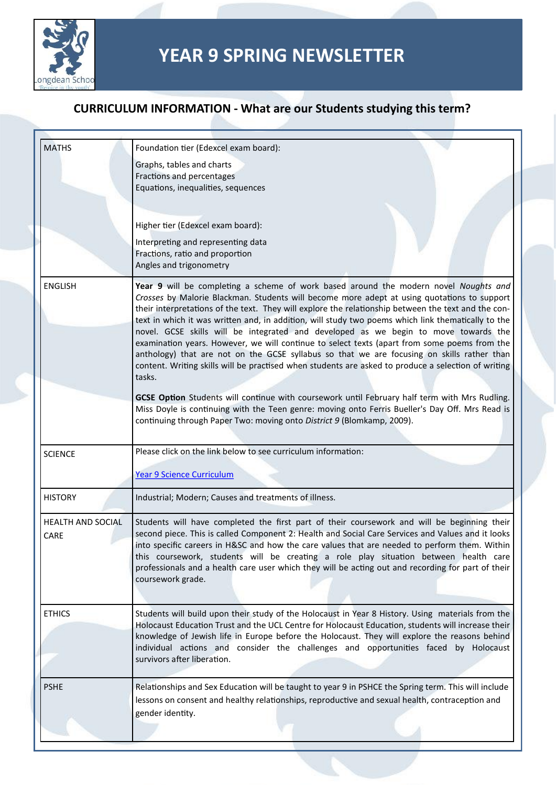

| <b>MATHS</b>                     | Foundation tier (Edexcel exam board):                                                                                                                                                                                                                                                                                                                                                                                                                                                                                                                                                                                                                                                                                                                                                                  |
|----------------------------------|--------------------------------------------------------------------------------------------------------------------------------------------------------------------------------------------------------------------------------------------------------------------------------------------------------------------------------------------------------------------------------------------------------------------------------------------------------------------------------------------------------------------------------------------------------------------------------------------------------------------------------------------------------------------------------------------------------------------------------------------------------------------------------------------------------|
|                                  | Graphs, tables and charts<br>Fractions and percentages<br>Equations, inequalities, sequences                                                                                                                                                                                                                                                                                                                                                                                                                                                                                                                                                                                                                                                                                                           |
|                                  | Higher tier (Edexcel exam board):<br>Interpreting and representing data<br>Fractions, ratio and proportion<br>Angles and trigonometry                                                                                                                                                                                                                                                                                                                                                                                                                                                                                                                                                                                                                                                                  |
| <b>ENGLISH</b>                   | Year 9 will be completing a scheme of work based around the modern novel Noughts and<br>Crosses by Malorie Blackman. Students will become more adept at using quotations to support<br>their interpretations of the text. They will explore the relationship between the text and the con-<br>text in which it was written and, in addition, will study two poems which link thematically to the<br>novel. GCSE skills will be integrated and developed as we begin to move towards the<br>examination years. However, we will continue to select texts (apart from some poems from the<br>anthology) that are not on the GCSE syllabus so that we are focusing on skills rather than<br>content. Writing skills will be practised when students are asked to produce a selection of writing<br>tasks. |
|                                  | GCSE Option Students will continue with coursework until February half term with Mrs Rudling.<br>Miss Doyle is continuing with the Teen genre: moving onto Ferris Bueller's Day Off. Mrs Read is<br>continuing through Paper Two: moving onto District 9 (Blomkamp, 2009).                                                                                                                                                                                                                                                                                                                                                                                                                                                                                                                             |
| <b>SCIENCE</b>                   | Please click on the link below to see curriculum information:<br><b>Year 9 Science Curriculum</b>                                                                                                                                                                                                                                                                                                                                                                                                                                                                                                                                                                                                                                                                                                      |
| <b>HISTORY</b>                   | Industrial; Modern; Causes and treatments of illness.                                                                                                                                                                                                                                                                                                                                                                                                                                                                                                                                                                                                                                                                                                                                                  |
| <b>HEALTH AND SOCIAL</b><br>CARE | Students will have completed the first part of their coursework and will be beginning their<br>second piece. This is called Component 2: Health and Social Care Services and Values and it looks<br>into specific careers in H&SC and how the care values that are needed to perform them. Within<br>this coursework, students will be creating a role play situation between health care<br>professionals and a health care user which they will be acting out and recording for part of their<br>coursework grade.                                                                                                                                                                                                                                                                                   |
| <b>ETHICS</b>                    | Students will build upon their study of the Holocaust in Year 8 History. Using materials from the<br>Holocaust Education Trust and the UCL Centre for Holocaust Education, students will increase their<br>knowledge of Jewish life in Europe before the Holocaust. They will explore the reasons behind<br>individual actions and consider the challenges and opportunities faced by Holocaust<br>survivors after liberation.                                                                                                                                                                                                                                                                                                                                                                         |
| <b>PSHE</b>                      | Relationships and Sex Education will be taught to year 9 in PSHCE the Spring term. This will include<br>lessons on consent and healthy relationships, reproductive and sexual health, contraception and<br>gender identity.                                                                                                                                                                                                                                                                                                                                                                                                                                                                                                                                                                            |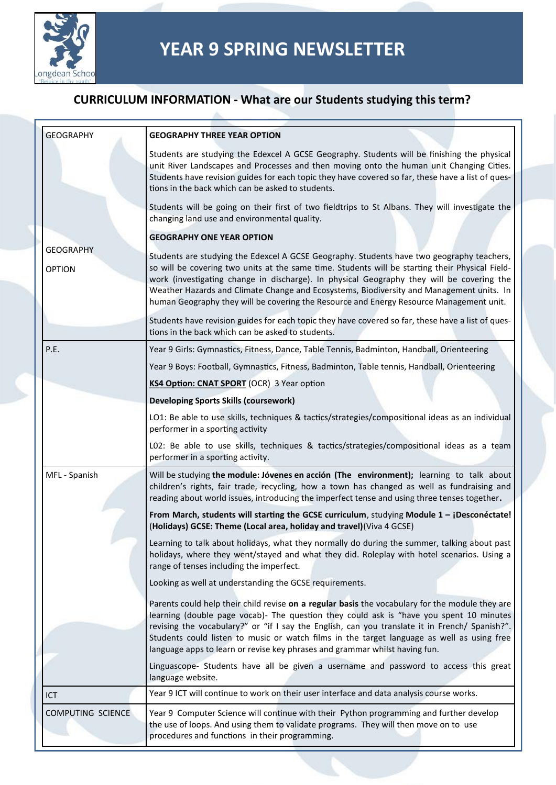

| <b>GEOGRAPHY</b>                  | <b>GEOGRAPHY THREE YEAR OPTION</b>                                                                                                                                                                                                                                                                                                                                                                                                                                               |
|-----------------------------------|----------------------------------------------------------------------------------------------------------------------------------------------------------------------------------------------------------------------------------------------------------------------------------------------------------------------------------------------------------------------------------------------------------------------------------------------------------------------------------|
|                                   | Students are studying the Edexcel A GCSE Geography. Students will be finishing the physical<br>unit River Landscapes and Processes and then moving onto the human unit Changing Cities.<br>Students have revision guides for each topic they have covered so far, these have a list of ques-<br>tions in the back which can be asked to students.                                                                                                                                |
|                                   | Students will be going on their first of two fieldtrips to St Albans. They will investigate the<br>changing land use and environmental quality.                                                                                                                                                                                                                                                                                                                                  |
|                                   | <b>GEOGRAPHY ONE YEAR OPTION</b>                                                                                                                                                                                                                                                                                                                                                                                                                                                 |
| <b>GEOGRAPHY</b><br><b>OPTION</b> | Students are studying the Edexcel A GCSE Geography. Students have two geography teachers,<br>so will be covering two units at the same time. Students will be starting their Physical Field-<br>work (investigating change in discharge). In physical Geography they will be covering the<br>Weather Hazards and Climate Change and Ecosystems, Biodiversity and Management units. In<br>human Geography they will be covering the Resource and Energy Resource Management unit. |
|                                   | Students have revision guides for each topic they have covered so far, these have a list of ques-<br>tions in the back which can be asked to students.                                                                                                                                                                                                                                                                                                                           |
| P.E.                              | Year 9 Girls: Gymnastics, Fitness, Dance, Table Tennis, Badminton, Handball, Orienteering                                                                                                                                                                                                                                                                                                                                                                                        |
|                                   | Year 9 Boys: Football, Gymnastics, Fitness, Badminton, Table tennis, Handball, Orienteering                                                                                                                                                                                                                                                                                                                                                                                      |
|                                   | KS4 Option: CNAT SPORT (OCR) 3 Year option                                                                                                                                                                                                                                                                                                                                                                                                                                       |
|                                   | <b>Developing Sports Skills (coursework)</b>                                                                                                                                                                                                                                                                                                                                                                                                                                     |
|                                   | LO1: Be able to use skills, techniques & tactics/strategies/compositional ideas as an individual<br>performer in a sporting activity                                                                                                                                                                                                                                                                                                                                             |
|                                   | LO2: Be able to use skills, techniques & tactics/strategies/compositional ideas as a team<br>performer in a sporting activity.                                                                                                                                                                                                                                                                                                                                                   |
| MFL - Spanish                     | Will be studying the module: Jóvenes en acción (The environment); learning to talk about<br>children's rights, fair trade, recycling, how a town has changed as well as fundraising and<br>reading about world issues, introducing the imperfect tense and using three tenses together.                                                                                                                                                                                          |
|                                   | From March, students will starting the GCSE curriculum, studying Module 1 - ¡Desconéctate!<br>(Holidays) GCSE: Theme (Local area, holiday and travel) (Viva 4 GCSE)                                                                                                                                                                                                                                                                                                              |
|                                   | Learning to talk about holidays, what they normally do during the summer, talking about past<br>holidays, where they went/stayed and what they did. Roleplay with hotel scenarios. Using a<br>range of tenses including the imperfect.                                                                                                                                                                                                                                           |
|                                   | Looking as well at understanding the GCSE requirements.                                                                                                                                                                                                                                                                                                                                                                                                                          |
|                                   | Parents could help their child revise on a regular basis the vocabulary for the module they are<br>learning (double page vocab)- The question they could ask is "have you spent 10 minutes<br>revising the vocabulary?" or "if I say the English, can you translate it in French/ Spanish?".<br>Students could listen to music or watch films in the target language as well as using free<br>language apps to learn or revise key phrases and grammar whilst having fun.        |
|                                   | Linguascope- Students have all be given a username and password to access this great<br>language website.                                                                                                                                                                                                                                                                                                                                                                        |
| ICT                               | Year 9 ICT will continue to work on their user interface and data analysis course works.                                                                                                                                                                                                                                                                                                                                                                                         |
| COMPUTING SCIENCE                 | Year 9 Computer Science will continue with their Python programming and further develop<br>the use of loops. And using them to validate programs. They will then move on to use<br>procedures and functions in their programming.                                                                                                                                                                                                                                                |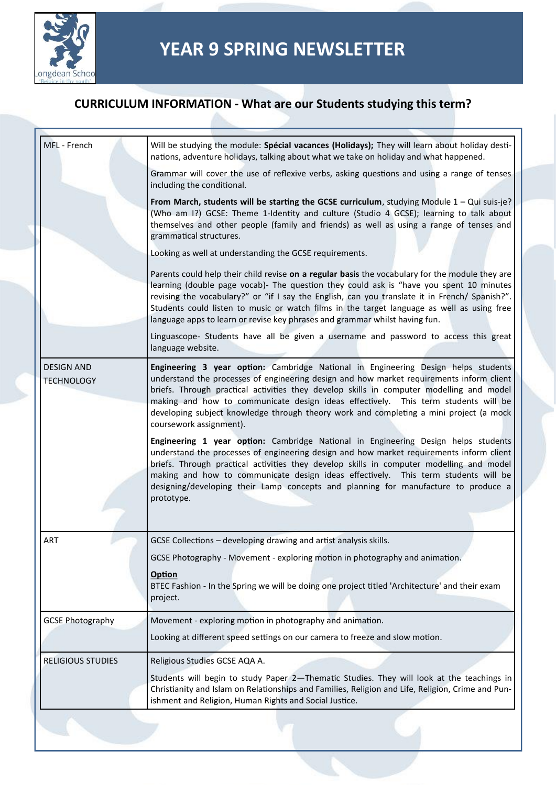

| MFL - French                           | Will be studying the module: Spécial vacances (Holidays); They will learn about holiday desti-<br>nations, adventure holidays, talking about what we take on holiday and what happened.                                                                                                                                                                                                                                                                                               |
|----------------------------------------|---------------------------------------------------------------------------------------------------------------------------------------------------------------------------------------------------------------------------------------------------------------------------------------------------------------------------------------------------------------------------------------------------------------------------------------------------------------------------------------|
|                                        | Grammar will cover the use of reflexive verbs, asking questions and using a range of tenses<br>including the conditional.                                                                                                                                                                                                                                                                                                                                                             |
|                                        | From March, students will be starting the GCSE curriculum, studying Module $1 - Qui$ suis-je?<br>(Who am I?) GCSE: Theme 1-Identity and culture (Studio 4 GCSE); learning to talk about<br>themselves and other people (family and friends) as well as using a range of tenses and<br>grammatical structures.                                                                                                                                                                         |
|                                        | Looking as well at understanding the GCSE requirements.                                                                                                                                                                                                                                                                                                                                                                                                                               |
|                                        | Parents could help their child revise on a regular basis the vocabulary for the module they are<br>learning (double page vocab)- The question they could ask is "have you spent 10 minutes<br>revising the vocabulary?" or "if I say the English, can you translate it in French/ Spanish?".<br>Students could listen to music or watch films in the target language as well as using free<br>language apps to learn or revise key phrases and grammar whilst having fun.             |
|                                        | Linguascope- Students have all be given a username and password to access this great<br>language website.                                                                                                                                                                                                                                                                                                                                                                             |
| <b>DESIGN AND</b><br><b>TECHNOLOGY</b> | Engineering 3 year option: Cambridge National in Engineering Design helps students<br>understand the processes of engineering design and how market requirements inform client<br>briefs. Through practical activities they develop skills in computer modelling and model<br>making and how to communicate design ideas effectively. This term students will be<br>developing subject knowledge through theory work and completing a mini project (a mock<br>coursework assignment). |
|                                        | Engineering 1 year option: Cambridge National in Engineering Design helps students<br>understand the processes of engineering design and how market requirements inform client<br>briefs. Through practical activities they develop skills in computer modelling and model<br>making and how to communicate design ideas effectively. This term students will be<br>designing/developing their Lamp concepts and planning for manufacture to produce a<br>prototype.                  |
| ART                                    | GCSE Collections - developing drawing and artist analysis skills.                                                                                                                                                                                                                                                                                                                                                                                                                     |
|                                        | GCSE Photography - Movement - exploring motion in photography and animation.<br><b>Option</b><br>BTEC Fashion - In the Spring we will be doing one project titled 'Architecture' and their exam<br>project.                                                                                                                                                                                                                                                                           |
| <b>GCSE Photography</b>                | Movement - exploring motion in photography and animation.                                                                                                                                                                                                                                                                                                                                                                                                                             |
|                                        | Looking at different speed settings on our camera to freeze and slow motion.                                                                                                                                                                                                                                                                                                                                                                                                          |
| <b>RELIGIOUS STUDIES</b>               | Religious Studies GCSE AQA A.<br>Students will begin to study Paper 2-Thematic Studies. They will look at the teachings in                                                                                                                                                                                                                                                                                                                                                            |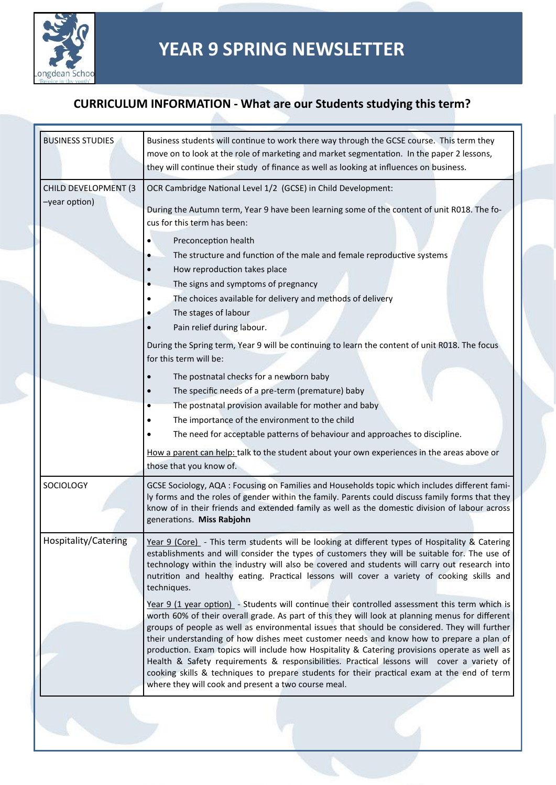

| <b>BUSINESS STUDIES</b>               | Business students will continue to work there way through the GCSE course. This term they<br>move on to look at the role of marketing and market segmentation. In the paper 2 lessons,<br>they will continue their study of finance as well as looking at influences on business.                                                                                                                                                                                                                                                                                                                                                                                                                                                                                                                                                                                                                                                                                                                                                                                                                                                                                     |
|---------------------------------------|-----------------------------------------------------------------------------------------------------------------------------------------------------------------------------------------------------------------------------------------------------------------------------------------------------------------------------------------------------------------------------------------------------------------------------------------------------------------------------------------------------------------------------------------------------------------------------------------------------------------------------------------------------------------------------------------------------------------------------------------------------------------------------------------------------------------------------------------------------------------------------------------------------------------------------------------------------------------------------------------------------------------------------------------------------------------------------------------------------------------------------------------------------------------------|
| CHILD DEVELOPMENT (3<br>-year option) | OCR Cambridge National Level 1/2 (GCSE) in Child Development:<br>During the Autumn term, Year 9 have been learning some of the content of unit R018. The fo-<br>cus for this term has been:                                                                                                                                                                                                                                                                                                                                                                                                                                                                                                                                                                                                                                                                                                                                                                                                                                                                                                                                                                           |
|                                       | Preconception health<br>٠<br>The structure and function of the male and female reproductive systems<br>How reproduction takes place<br>The signs and symptoms of pregnancy<br>The choices available for delivery and methods of delivery<br>The stages of labour<br>٠<br>Pain relief during labour.<br>During the Spring term, Year 9 will be continuing to learn the content of unit R018. The focus                                                                                                                                                                                                                                                                                                                                                                                                                                                                                                                                                                                                                                                                                                                                                                 |
|                                       | for this term will be:<br>The postnatal checks for a newborn baby<br>The specific needs of a pre-term (premature) baby<br>The postnatal provision available for mother and baby<br>The importance of the environment to the child<br>The need for acceptable patterns of behaviour and approaches to discipline.<br>How a parent can help: talk to the student about your own experiences in the areas above or<br>those that you know of.                                                                                                                                                                                                                                                                                                                                                                                                                                                                                                                                                                                                                                                                                                                            |
| SOCIOLOGY                             | GCSE Sociology, AQA : Focusing on Families and Households topic which includes different fami-<br>ly forms and the roles of gender within the family. Parents could discuss family forms that they<br>know of in their friends and extended family as well as the domestic division of labour across<br>generations. Miss Rabjohn                                                                                                                                                                                                                                                                                                                                                                                                                                                                                                                                                                                                                                                                                                                                                                                                                                     |
| Hospitality/Catering                  | Year 9 (Core) - This term students will be looking at different types of Hospitality & Catering<br>establishments and will consider the types of customers they will be suitable for. The use of<br>technology within the industry will also be covered and students will carry out research into<br>nutrition and healthy eating. Practical lessons will cover a variety of cooking skills and<br>techniques.<br>Year 9 (1 year option) - Students will continue their controlled assessment this term which is<br>worth 60% of their overall grade. As part of this they will look at planning menus for different<br>groups of people as well as environmental issues that should be considered. They will further<br>their understanding of how dishes meet customer needs and know how to prepare a plan of<br>production. Exam topics will include how Hospitality & Catering provisions operate as well as<br>Health & Safety requirements & responsibilities. Practical lessons will cover a variety of<br>cooking skills & techniques to prepare students for their practical exam at the end of term<br>where they will cook and present a two course meal. |
|                                       |                                                                                                                                                                                                                                                                                                                                                                                                                                                                                                                                                                                                                                                                                                                                                                                                                                                                                                                                                                                                                                                                                                                                                                       |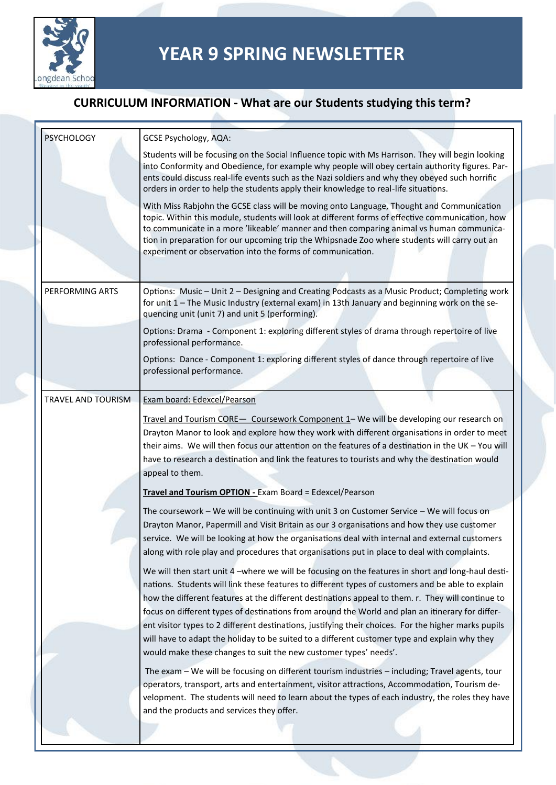

| <b>PSYCHOLOGY</b>         | <b>GCSE Psychology, AQA:</b>                                                                                                                                                                                                                                                                                                                                                                                                                                                                                                                                                                                              |
|---------------------------|---------------------------------------------------------------------------------------------------------------------------------------------------------------------------------------------------------------------------------------------------------------------------------------------------------------------------------------------------------------------------------------------------------------------------------------------------------------------------------------------------------------------------------------------------------------------------------------------------------------------------|
|                           | Students will be focusing on the Social Influence topic with Ms Harrison. They will begin looking<br>into Conformity and Obedience, for example why people will obey certain authority figures. Par-<br>ents could discuss real-life events such as the Nazi soldiers and why they obeyed such horrific<br>orders in order to help the students apply their knowledge to real-life situations.                                                                                                                                                                                                                            |
|                           | With Miss Rabjohn the GCSE class will be moving onto Language, Thought and Communication<br>topic. Within this module, students will look at different forms of effective communication, how<br>to communicate in a more 'likeable' manner and then comparing animal vs human communica-<br>tion in preparation for our upcoming trip the Whipsnade Zoo where students will carry out an<br>experiment or observation into the forms of communication.                                                                                                                                                                    |
| PERFORMING ARTS           | Options: Music - Unit 2 - Designing and Creating Podcasts as a Music Product; Completing work<br>for unit 1 - The Music Industry (external exam) in 13th January and beginning work on the se-<br>quencing unit (unit 7) and unit 5 (performing).                                                                                                                                                                                                                                                                                                                                                                         |
|                           | Options: Drama - Component 1: exploring different styles of drama through repertoire of live<br>professional performance.                                                                                                                                                                                                                                                                                                                                                                                                                                                                                                 |
|                           | Options: Dance - Component 1: exploring different styles of dance through repertoire of live<br>professional performance.                                                                                                                                                                                                                                                                                                                                                                                                                                                                                                 |
| <b>TRAVEL AND TOURISM</b> | Exam board: Edexcel/Pearson                                                                                                                                                                                                                                                                                                                                                                                                                                                                                                                                                                                               |
|                           | Travel and Tourism CORE - Coursework Component 1 - We will be developing our research on<br>Drayton Manor to look and explore how they work with different organisations in order to meet<br>their aims. We will then focus our attention on the features of a destination in the UK - You will<br>have to research a destination and link the features to tourists and why the destination would<br>appeal to them.<br>Travel and Tourism OPTION - Exam Board = Edexcel/Pearson                                                                                                                                          |
|                           | The coursework - We will be continuing with unit 3 on Customer Service - We will focus on<br>Drayton Manor, Papermill and Visit Britain as our 3 organisations and how they use customer<br>service. We will be looking at how the organisations deal with internal and external customers<br>along with role play and procedures that organisations put in place to deal with complaints.                                                                                                                                                                                                                                |
|                           | We will then start unit 4 -where we will be focusing on the features in short and long-haul desti-<br>nations. Students will link these features to different types of customers and be able to explain<br>how the different features at the different destinations appeal to them. r. They will continue to<br>focus on different types of destinations from around the World and plan an itinerary for differ-<br>ent visitor types to 2 different destinations, justifying their choices. For the higher marks pupils<br>will have to adapt the holiday to be suited to a different customer type and explain why they |
|                           | would make these changes to suit the new customer types' needs'.                                                                                                                                                                                                                                                                                                                                                                                                                                                                                                                                                          |
|                           | The exam - We will be focusing on different tourism industries - including; Travel agents, tour<br>operators, transport, arts and entertainment, visitor attractions, Accommodation, Tourism de-<br>velopment. The students will need to learn about the types of each industry, the roles they have<br>and the products and services they offer.                                                                                                                                                                                                                                                                         |
|                           |                                                                                                                                                                                                                                                                                                                                                                                                                                                                                                                                                                                                                           |